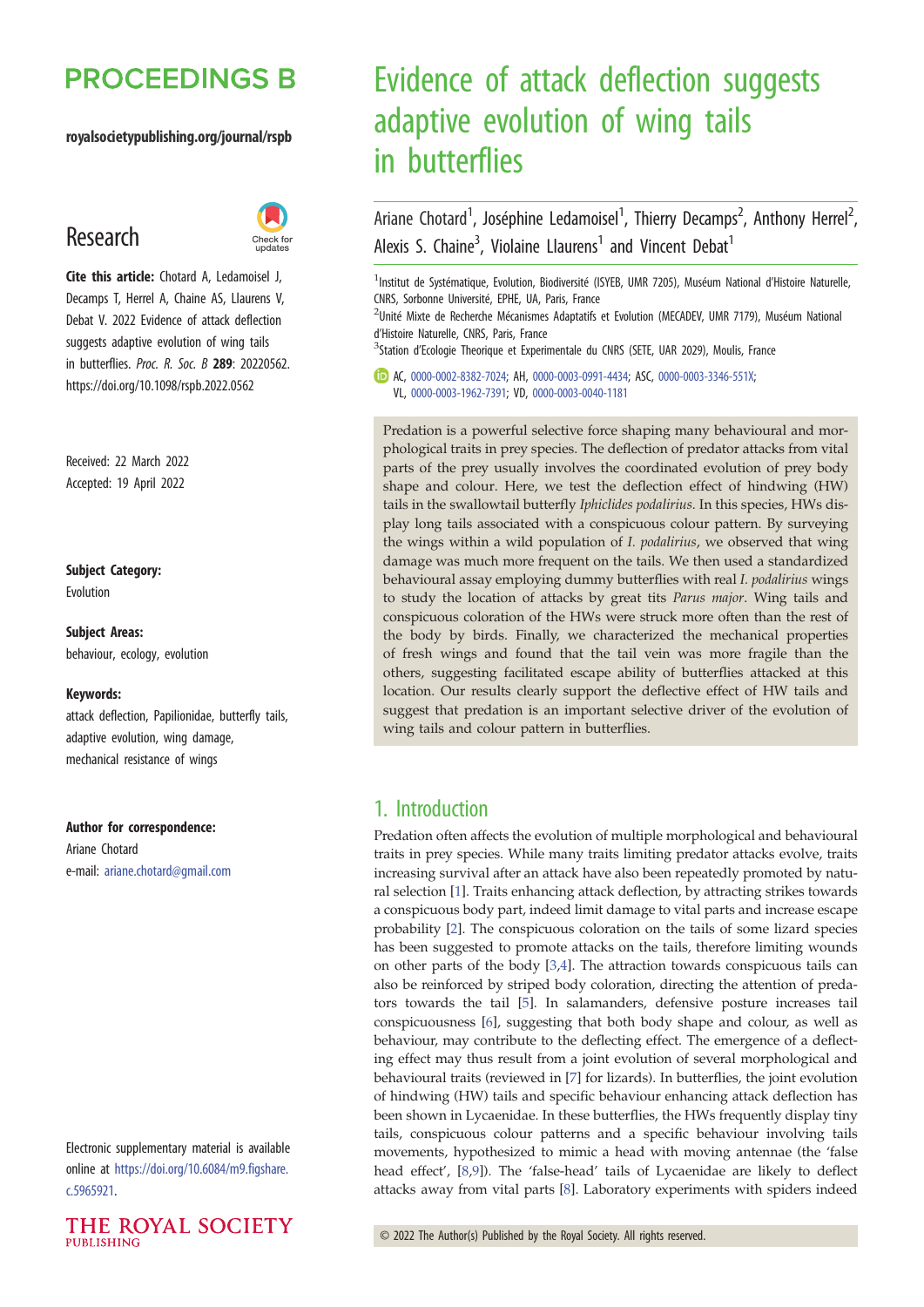# **PROCEEDINGS B**

#### royalsocietypublishing.org/journal/rspb

# Research



Cite this article: Chotard A, Ledamoisel J, Decamps T, Herrel A, Chaine AS, Llaurens V, Debat V. 2022 Evidence of attack deflection suggests adaptive evolution of wing tails in butterflies. Proc. R. Soc. B 289: 20220562. https://doi.org/10.1098/rspb.2022.0562

Received: 22 March 2022 Accepted: 19 April 2022

### Subject Category:

Evolution

Subject Areas: behaviour, ecology, evolution

#### Keywords:

attack deflection, Papilionidae, butterfly tails, adaptive evolution, wing damage, mechanical resistance of wings

#### Author for correspondence:

Ariane Chotard e-mail: [ariane.chotard@gmail.com](mailto:ariane.chotard@gmail.com)

Electronic supplementary material is available online at [https://doi.org/10.6084/m9.figshare.](https://doi.org/10.6084/m9.figshare.c.5965921) [c.5965921.](https://doi.org/10.6084/m9.figshare.c.5965921)



# Evidence of attack deflection suggests adaptive evolution of wing tails in butterflies

Ariane Chotard<sup>1</sup>, Joséphine Ledamoisel<sup>1</sup>, Thierry Decamps<sup>2</sup>, Anthony Herrel<sup>2</sup> .<br>, Alexis S. Chaine<sup>3</sup>, Violaine Llaurens<sup>1</sup> and Vincent Debat<sup>1</sup>

<sup>1</sup>Institut de Systématique, Evolution, Biodiversité (ISYEB, UMR 7205), Muséum National d'Histoire Naturelle, CNRS, Sorbonne Université, EPHE, UA, Paris, France

<sup>2</sup>Unité Mixte de Recherche Mécanismes Adaptatifs et Evolution (MECADEV, UMR 7179), Muséum National d'Histoire Naturelle, CNRS, Paris, France

<sup>3</sup>Station d'Ecologie Theorique et Experimentale du CNRS (SETE, UAR 2029), Moulis, France

AC, [0000-0002-8382-7024](http://orcid.org/0000-0002-8382-7024); AH, [0000-0003-0991-4434;](https://orcid.org/0000-0003-0991-4434) ASC, [0000-0003-3346-551X;](https://orcid.org/0000-0003-3346-551X) VL, [0000-0003-1962-7391](https://orcid.org/0000-0003-1962-7391); VD, [0000-0003-0040-1181](http://orcid.org/0000-0003-0040-1181)

Predation is a powerful selective force shaping many behavioural and morphological traits in prey species. The deflection of predator attacks from vital parts of the prey usually involves the coordinated evolution of prey body shape and colour. Here, we test the deflection effect of hindwing (HW) tails in the swallowtail butterfly Iphiclides podalirius. In this species, HWs display long tails associated with a conspicuous colour pattern. By surveying the wings within a wild population of I. podalirius, we observed that wing damage was much more frequent on the tails. We then used a standardized behavioural assay employing dummy butterflies with real I. podalirius wings to study the location of attacks by great tits Parus major. Wing tails and conspicuous coloration of the HWs were struck more often than the rest of the body by birds. Finally, we characterized the mechanical properties of fresh wings and found that the tail vein was more fragile than the others, suggesting facilitated escape ability of butterflies attacked at this location. Our results clearly support the deflective effect of HW tails and suggest that predation is an important selective driver of the evolution of wing tails and colour pattern in butterflies.

### 1. Introduction

Predation often affects the evolution of multiple morphological and behavioural traits in prey species. While many traits limiting predator attacks evolve, traits increasing survival after an attack have also been repeatedly promoted by natural selection [[1](#page-8-0)]. Traits enhancing attack deflection, by attracting strikes towards a conspicuous body part, indeed limit damage to vital parts and increase escape probability [\[2\]](#page-8-0). The conspicuous coloration on the tails of some lizard species has been suggested to promote attacks on the tails, therefore limiting wounds on other parts of the body [\[3,4\]](#page-8-0). The attraction towards conspicuous tails can also be reinforced by striped body coloration, directing the attention of predators towards the tail [[5](#page-8-0)]. In salamanders, defensive posture increases tail conspicuousness [\[6\]](#page-8-0), suggesting that both body shape and colour, as well as behaviour, may contribute to the deflecting effect. The emergence of a deflecting effect may thus result from a joint evolution of several morphological and behavioural traits (reviewed in [\[7\]](#page-8-0) for lizards). In butterflies, the joint evolution of hindwing (HW) tails and specific behaviour enhancing attack deflection has been shown in Lycaenidae. In these butterflies, the HWs frequently display tiny tails, conspicuous colour patterns and a specific behaviour involving tails movements, hypothesized to mimic a head with moving antennae (the 'false head effect', [[8,9\]](#page-8-0)). The 'false-head' tails of Lycaenidae are likely to deflect attacks away from vital parts [\[8\]](#page-8-0). Laboratory experiments with spiders indeed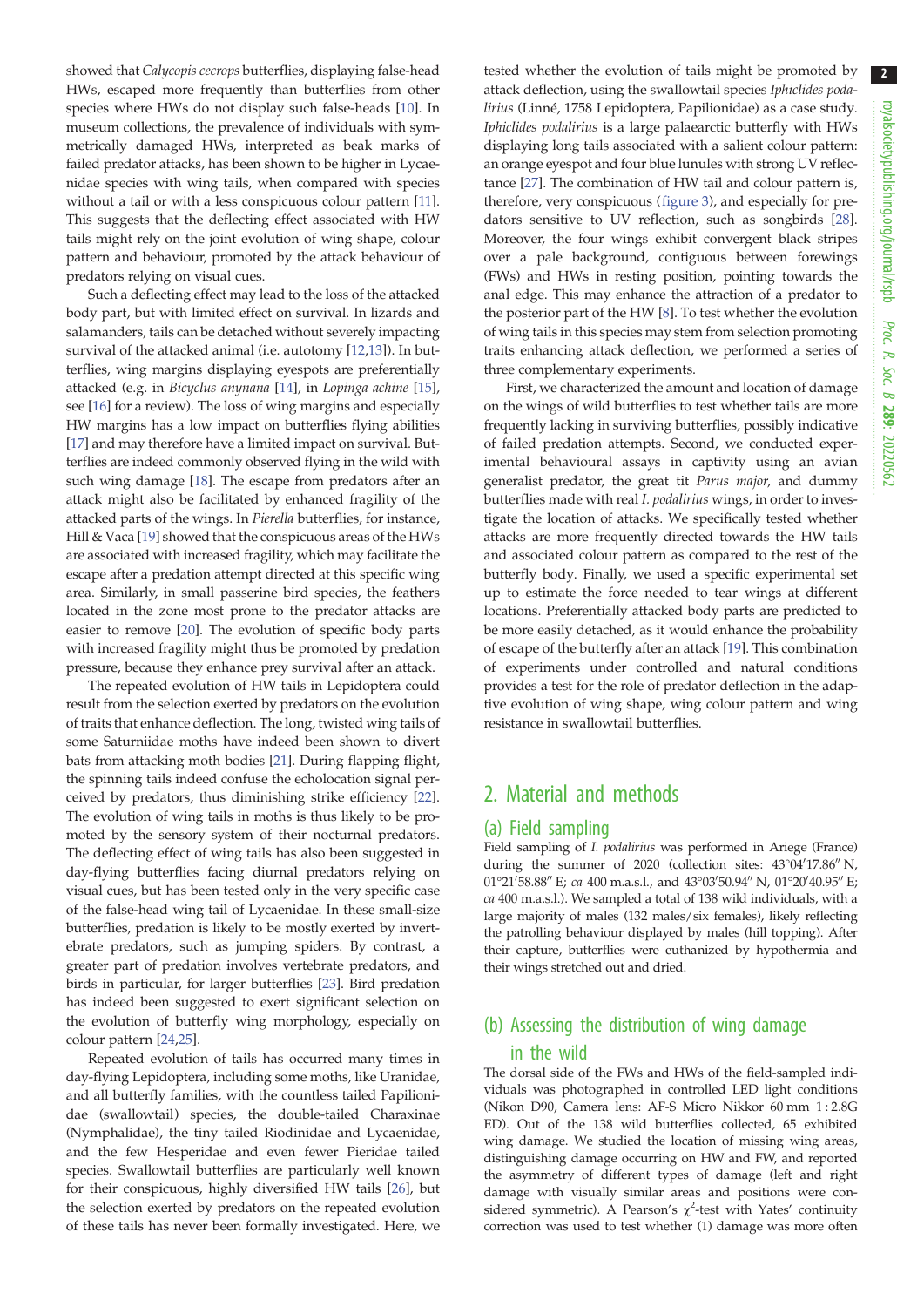showed that Calycopis cecrops butterflies, displaying false-head HWs, escaped more frequently than butterflies from other species where HWs do not display such false-heads [[10\]](#page-8-0). In museum collections, the prevalence of individuals with symmetrically damaged HWs, interpreted as beak marks of failed predator attacks, has been shown to be higher in Lycaenidae species with wing tails, when compared with species without a tail or with a less conspicuous colour pattern [[11](#page-8-0)]. This suggests that the deflecting effect associated with HW tails might rely on the joint evolution of wing shape, colour pattern and behaviour, promoted by the attack behaviour of predators relying on visual cues.

Such a deflecting effect may lead to the loss of the attacked body part, but with limited effect on survival. In lizards and salamanders, tails can be detached without severely impacting survival of the attacked animal (i.e. autotomy [\[12,13\]](#page-8-0)). In butterflies, wing margins displaying eyespots are preferentially attacked (e.g. in Bicyclus anynana [[14\]](#page-8-0), in Lopinga achine [\[15](#page-8-0)], see [[16\]](#page-8-0) for a review). The loss of wing margins and especially HW margins has a low impact on butterflies flying abilities [\[17](#page-8-0)] and may therefore have a limited impact on survival. Butterflies are indeed commonly observed flying in the wild with such wing damage [\[18](#page-8-0)]. The escape from predators after an attack might also be facilitated by enhanced fragility of the attacked parts of the wings. In Pierella butterflies, for instance, Hill & Vaca [\[19](#page-8-0)] showed that the conspicuous areas of the HWs are associated with increased fragility, which may facilitate the escape after a predation attempt directed at this specific wing area. Similarly, in small passerine bird species, the feathers located in the zone most prone to the predator attacks are easier to remove [[20\]](#page-8-0). The evolution of specific body parts with increased fragility might thus be promoted by predation pressure, because they enhance prey survival after an attack.

The repeated evolution of HW tails in Lepidoptera could result from the selection exerted by predators on the evolution of traits that enhance deflection. The long, twisted wing tails of some Saturniidae moths have indeed been shown to divert bats from attacking moth bodies [\[21](#page-8-0)]. During flapping flight, the spinning tails indeed confuse the echolocation signal perceived by predators, thus diminishing strike efficiency [\[22](#page-8-0)]. The evolution of wing tails in moths is thus likely to be promoted by the sensory system of their nocturnal predators. The deflecting effect of wing tails has also been suggested in day-flying butterflies facing diurnal predators relying on visual cues, but has been tested only in the very specific case of the false-head wing tail of Lycaenidae. In these small-size butterflies, predation is likely to be mostly exerted by invertebrate predators, such as jumping spiders. By contrast, a greater part of predation involves vertebrate predators, and birds in particular, for larger butterflies [[23\]](#page-8-0). Bird predation has indeed been suggested to exert significant selection on the evolution of butterfly wing morphology, especially on colour pattern [[24,25\]](#page-8-0).

Repeated evolution of tails has occurred many times in day-flying Lepidoptera, including some moths, like Uranidae, and all butterfly families, with the countless tailed Papilionidae (swallowtail) species, the double-tailed Charaxinae (Nymphalidae), the tiny tailed Riodinidae and Lycaenidae, and the few Hesperidae and even fewer Pieridae tailed species. Swallowtail butterflies are particularly well known for their conspicuous, highly diversified HW tails [\[26](#page-8-0)], but the selection exerted by predators on the repeated evolution of these tails has never been formally investigated. Here, we

tested whether the evolution of tails might be promoted by attack deflection, using the swallowtail species Iphiclides podalirius (Linné, 1758 Lepidoptera, Papilionidae) as a case study. Iphiclides podalirius is a large palaearctic butterfly with HWs displaying long tails associated with a salient colour pattern: an orange eyespot and four blue lunules with strong UV reflectance [\[27\]](#page-8-0). The combination of HW tail and colour pattern is, therefore, very conspicuous ([figure 3\)](#page-3-0), and especially for predators sensitive to UV reflection, such as songbirds [[28\]](#page-8-0). Moreover, the four wings exhibit convergent black stripes over a pale background, contiguous between forewings (FWs) and HWs in resting position, pointing towards the anal edge. This may enhance the attraction of a predator to the posterior part of the HW [\[8\]](#page-8-0). To test whether the evolution of wing tails in this species may stem from selection promoting traits enhancing attack deflection, we performed a series of three complementary experiments.

First, we characterized the amount and location of damage on the wings of wild butterflies to test whether tails are more frequently lacking in surviving butterflies, possibly indicative of failed predation attempts. Second, we conducted experimental behavioural assays in captivity using an avian generalist predator, the great tit Parus major, and dummy butterflies made with real I. podalirius wings, in order to investigate the location of attacks. We specifically tested whether attacks are more frequently directed towards the HW tails and associated colour pattern as compared to the rest of the butterfly body. Finally, we used a specific experimental set up to estimate the force needed to tear wings at different locations. Preferentially attacked body parts are predicted to be more easily detached, as it would enhance the probability of escape of the butterfly after an attack [[19\]](#page-8-0). This combination of experiments under controlled and natural conditions provides a test for the role of predator deflection in the adaptive evolution of wing shape, wing colour pattern and wing resistance in swallowtail butterflies.

## 2. Material and methods

#### (a) Field sampling

Field sampling of I. podalirius was performed in Ariege (France) during the summer of 2020 (collection sites:  $43^{\circ}04'17.86''$  N,  $01^{\circ}21'58.88''$  E; ca 400 m.a.s.l., and  $43^{\circ}03'50.94''$  N,  $01^{\circ}20'40.95''$  E; ca 400 m.a.s.l.). We sampled a total of 138 wild individuals, with a large majority of males (132 males/six females), likely reflecting the patrolling behaviour displayed by males (hill topping). After their capture, butterflies were euthanized by hypothermia and their wings stretched out and dried.

# (b) Assessing the distribution of wing damage in the wild

The dorsal side of the FWs and HWs of the field-sampled individuals was photographed in controlled LED light conditions (Nikon D90, Camera lens: AF-S Micro Nikkor 60 mm 1 : 2.8G ED). Out of the 138 wild butterflies collected, 65 exhibited wing damage. We studied the location of missing wing areas, distinguishing damage occurring on HW and FW, and reported the asymmetry of different types of damage (left and right damage with visually similar areas and positions were considered symmetric). A Pearson's  $\chi^2$ -test with Yates' continuity correction was used to test whether (1) damage was more often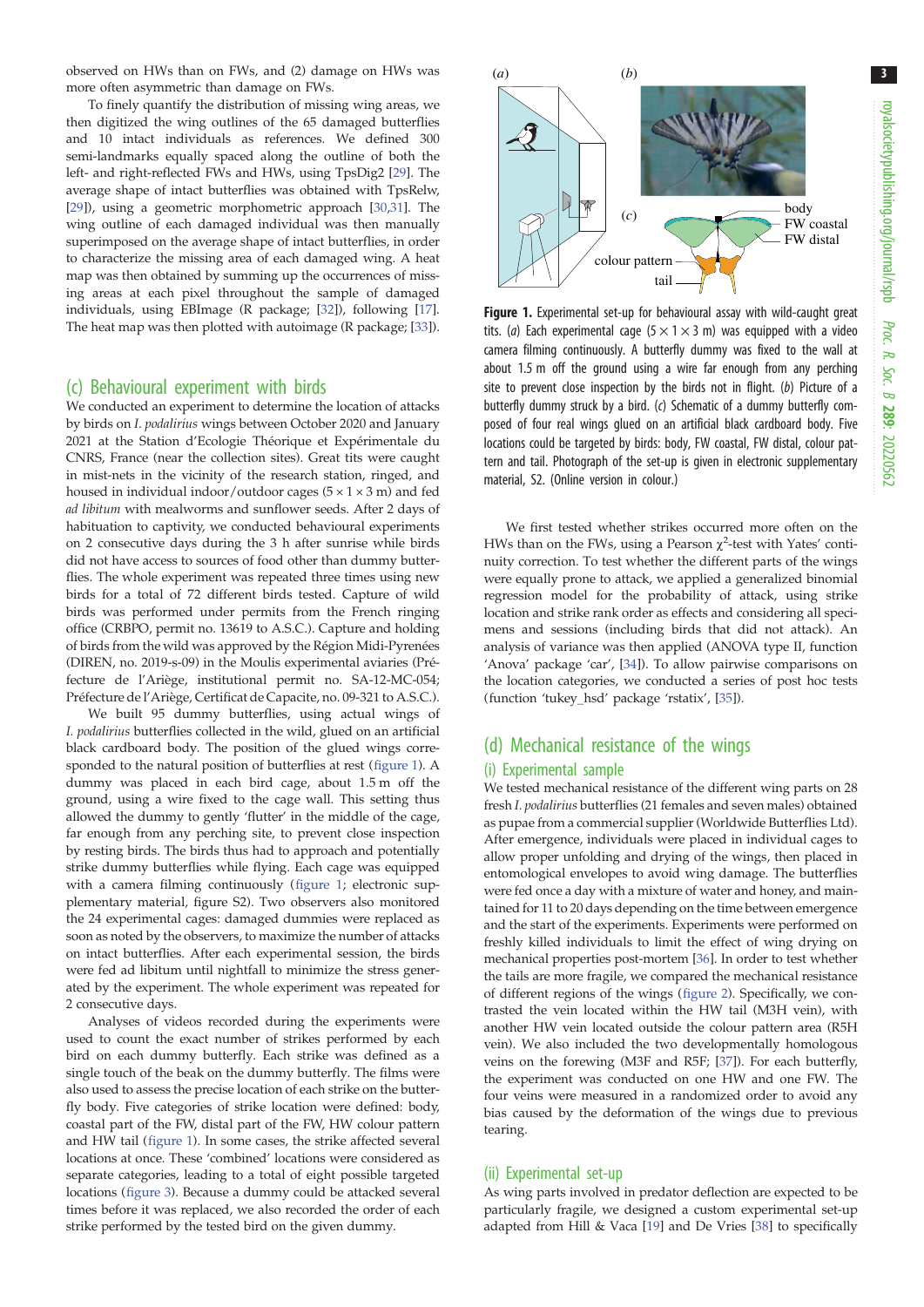3

<span id="page-2-0"></span>observed on HWs than on FWs, and (2) damage on HWs was more often asymmetric than damage on FWs.

To finely quantify the distribution of missing wing areas, we then digitized the wing outlines of the 65 damaged butterflies and 10 intact individuals as references. We defined 300 semi-landmarks equally spaced along the outline of both the left- and right-reflected FWs and HWs, using TpsDig2 [\[29\]](#page-8-0). The average shape of intact butterflies was obtained with TpsRelw, [\[29\]](#page-8-0)), using a geometric morphometric approach [[30](#page-8-0),[31](#page-8-0)]. The wing outline of each damaged individual was then manually superimposed on the average shape of intact butterflies, in order to characterize the missing area of each damaged wing. A heat map was then obtained by summing up the occurrences of missing areas at each pixel throughout the sample of damaged individuals, using EBImage (R package; [[32](#page-8-0)]), following [\[17\]](#page-8-0). The heat map was then plotted with autoimage (R package; [\[33\]](#page-8-0)).

#### (c) Behavioural experiment with birds

We conducted an experiment to determine the location of attacks by birds on I. podalirius wings between October 2020 and January 2021 at the Station d'Ecologie Théorique et Expérimentale du CNRS, France (near the collection sites). Great tits were caught in mist-nets in the vicinity of the research station, ringed, and housed in individual indoor/outdoor cages  $(5 \times 1 \times 3 \text{ m})$  and fed ad libitum with mealworms and sunflower seeds. After 2 days of habituation to captivity, we conducted behavioural experiments on 2 consecutive days during the 3 h after sunrise while birds did not have access to sources of food other than dummy butterflies. The whole experiment was repeated three times using new birds for a total of 72 different birds tested. Capture of wild birds was performed under permits from the French ringing office (CRBPO, permit no. 13619 to A.S.C.). Capture and holding of birds from the wild was approved by the Région Midi-Pyrenées (DIREN, no. 2019-s-09) in the Moulis experimental aviaries (Préfecture de l'Ariège, institutional permit no. SA-12-MC-054; Préfecture de l'Ariège, Certificat de Capacite, no. 09-321 to A.S.C.).

We built 95 dummy butterflies, using actual wings of I. podalirius butterflies collected in the wild, glued on an artificial black cardboard body. The position of the glued wings corresponded to the natural position of butterflies at rest (figure 1). A dummy was placed in each bird cage, about 1.5 m off the ground, using a wire fixed to the cage wall. This setting thus allowed the dummy to gently 'flutter' in the middle of the cage, far enough from any perching site, to prevent close inspection by resting birds. The birds thus had to approach and potentially strike dummy butterflies while flying. Each cage was equipped with a camera filming continuously (figure 1; electronic supplementary material, figure S2). Two observers also monitored the 24 experimental cages: damaged dummies were replaced as soon as noted by the observers, to maximize the number of attacks on intact butterflies. After each experimental session, the birds were fed ad libitum until nightfall to minimize the stress generated by the experiment. The whole experiment was repeated for 2 consecutive days.

Analyses of videos recorded during the experiments were used to count the exact number of strikes performed by each bird on each dummy butterfly. Each strike was defined as a single touch of the beak on the dummy butterfly. The films were also used to assess the precise location of each strike on the butterfly body. Five categories of strike location were defined: body, coastal part of the FW, distal part of the FW, HW colour pattern and HW tail (figure 1). In some cases, the strike affected several locations at once. These 'combined' locations were considered as separate categories, leading to a total of eight possible targeted locations ([figure 3](#page-3-0)). Because a dummy could be attacked several times before it was replaced, we also recorded the order of each strike performed by the tested bird on the given dummy.



Figure 1. Experimental set-up for behavioural assay with wild-caught great tits. (a) Each experimental cage  $(5 \times 1 \times 3$  m) was equipped with a video camera filming continuously. A butterfly dummy was fixed to the wall at about 1.5 m off the ground using a wire far enough from any perching site to prevent close inspection by the birds not in flight. (b) Picture of a butterfly dummy struck by a bird. (c) Schematic of a dummy butterfly composed of four real wings glued on an artificial black cardboard body. Five locations could be targeted by birds: body, FW coastal, FW distal, colour pattern and tail. Photograph of the set-up is given in electronic supplementary material, S2. (Online version in colour.)

We first tested whether strikes occurred more often on the HWs than on the FWs, using a Pearson  $\chi^2$ -test with Yates' continuity correction. To test whether the different parts of the wings were equally prone to attack, we applied a generalized binomial regression model for the probability of attack, using strike location and strike rank order as effects and considering all specimens and sessions (including birds that did not attack). An analysis of variance was then applied (ANOVA type II, function 'Anova' package 'car', [[34](#page-8-0)]). To allow pairwise comparisons on the location categories, we conducted a series of post hoc tests (function 'tukey\_hsd' package 'rstatix', [[35](#page-8-0)]).

### (d) Mechanical resistance of the wings

#### (i) Experimental sample

We tested mechanical resistance of the different wing parts on 28 fresh I. podalirius butterflies (21 females and seven males) obtained as pupae from a commercial supplier (Worldwide Butterflies Ltd). After emergence, individuals were placed in individual cages to allow proper unfolding and drying of the wings, then placed in entomological envelopes to avoid wing damage. The butterflies were fed once a day with a mixture of water and honey, and maintained for 11 to 20 days depending on the time between emergence and the start of the experiments. Experiments were performed on freshly killed individuals to limit the effect of wing drying on mechanical properties post-mortem [[36](#page-8-0)]. In order to test whether the tails are more fragile, we compared the mechanical resistance of different regions of the wings [\(figure 2](#page-3-0)). Specifically, we contrasted the vein located within the HW tail (M3H vein), with another HW vein located outside the colour pattern area (R5H vein). We also included the two developmentally homologous veins on the forewing (M3F and R5F; [[37](#page-8-0)]). For each butterfly, the experiment was conducted on one HW and one FW. The four veins were measured in a randomized order to avoid any bias caused by the deformation of the wings due to previous tearing.

#### (ii) Experimental set-up

As wing parts involved in predator deflection are expected to be particularly fragile, we designed a custom experimental set-up adapted from Hill & Vaca [[19](#page-8-0)] and De Vries [[38](#page-8-0)] to specifically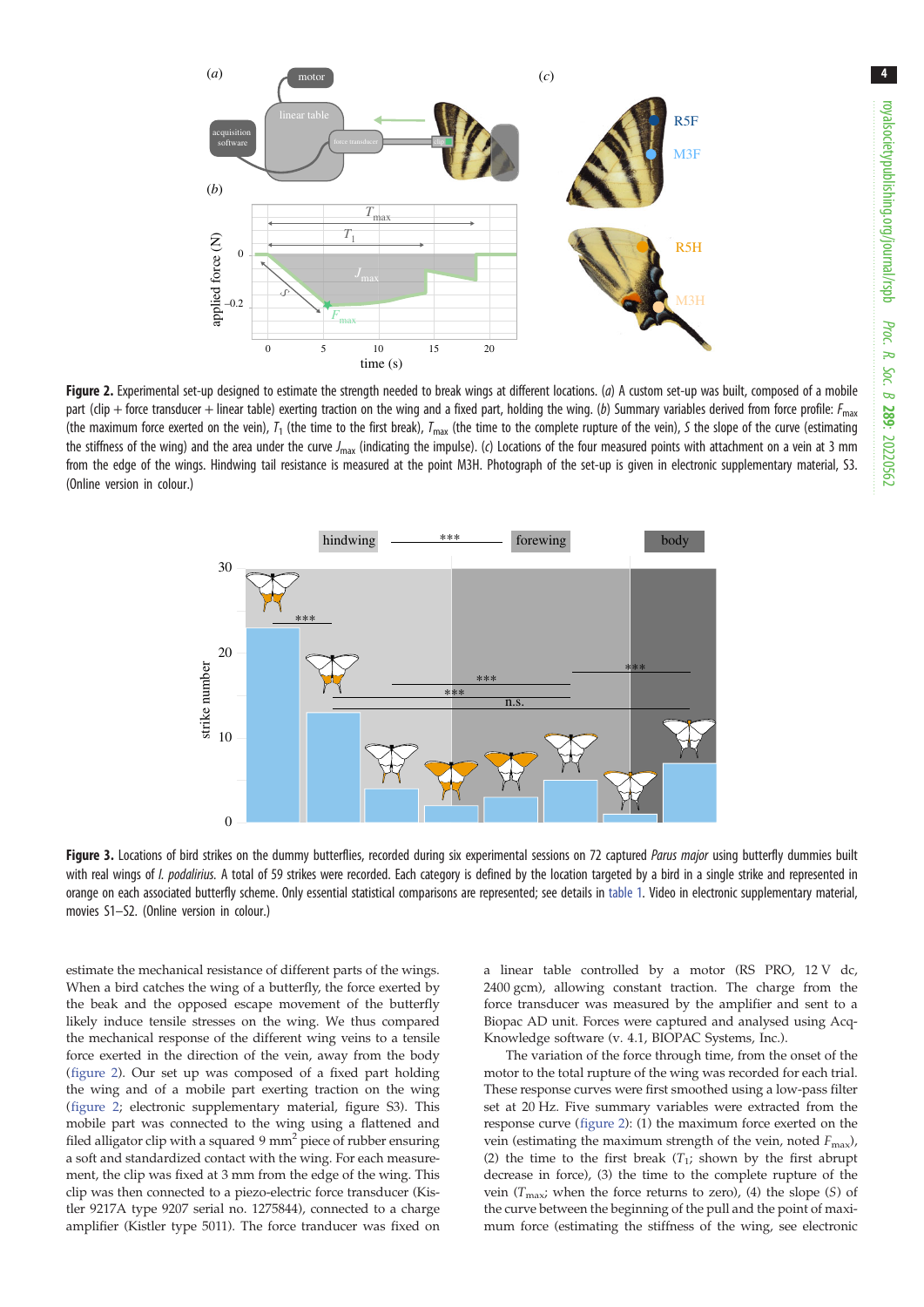<span id="page-3-0"></span>

Figure 2. Experimental set-up designed to estimate the strength needed to break wings at different locations. (a) A custom set-up was built, composed of a mobile part (clip + force transducer + linear table) exerting traction on the wing and a fixed part, holding the wing. (b) Summary variables derived from force profile:  $F_{\text{max}}$ (the maximum force exerted on the vein),  $T_1$  (the time to the first break),  $T_{\text{max}}$  (the time to the complete rupture of the vein), S the slope of the curve (estimating the stiffness of the wing) and the area under the curve  $J_{\text{max}}$  (indicating the impulse). (c) Locations of the four measured points with attachment on a vein at 3 mm from the edge of the wings. Hindwing tail resistance is measured at the point M3H. Photograph of the set-up is given in electronic supplementary material, S3. (Online version in colour.)



Figure 3. Locations of bird strikes on the dummy butterflies, recorded during six experimental sessions on 72 captured Parus major using butterfly dummies built with real wings of I. podalirius. A total of 59 strikes were recorded. Each category is defined by the location targeted by a bird in a single strike and represented in orange on each associated butterfly scheme. Only essential statistical comparisons are represented; see details in [table 1.](#page-4-0) Video in electronic supplementary material, movies S1–S2. (Online version in colour.)

estimate the mechanical resistance of different parts of the wings. When a bird catches the wing of a butterfly, the force exerted by the beak and the opposed escape movement of the butterfly likely induce tensile stresses on the wing. We thus compared the mechanical response of the different wing veins to a tensile force exerted in the direction of the vein, away from the body (figure 2). Our set up was composed of a fixed part holding the wing and of a mobile part exerting traction on the wing (figure 2; electronic supplementary material, figure S3). This mobile part was connected to the wing using a flattened and filed alligator clip with a squared 9  $mm<sup>2</sup>$  piece of rubber ensuring a soft and standardized contact with the wing. For each measurement, the clip was fixed at 3 mm from the edge of the wing. This clip was then connected to a piezo-electric force transducer (Kistler 9217A type 9207 serial no. 1275844), connected to a charge amplifier (Kistler type 5011). The force tranducer was fixed on a linear table controlled by a motor (RS PRO, 12 V dc, 2400 gcm), allowing constant traction. The charge from the force transducer was measured by the amplifier and sent to a Biopac AD unit. Forces were captured and analysed using Acq-Knowledge software (v. 4.1, BIOPAC Systems, Inc.).

The variation of the force through time, from the onset of the motor to the total rupture of the wing was recorded for each trial. These response curves were first smoothed using a low-pass filter set at 20 Hz. Five summary variables were extracted from the response curve (figure 2): (1) the maximum force exerted on the vein (estimating the maximum strength of the vein, noted  $F_{\text{max}}$ ), (2) the time to the first break  $(T_1;$  shown by the first abrupt decrease in force), (3) the time to the complete rupture of the vein  $(T_{\text{max}})$ ; when the force returns to zero), (4) the slope (S) of the curve between the beginning of the pull and the point of maximum force (estimating the stiffness of the wing, see electronic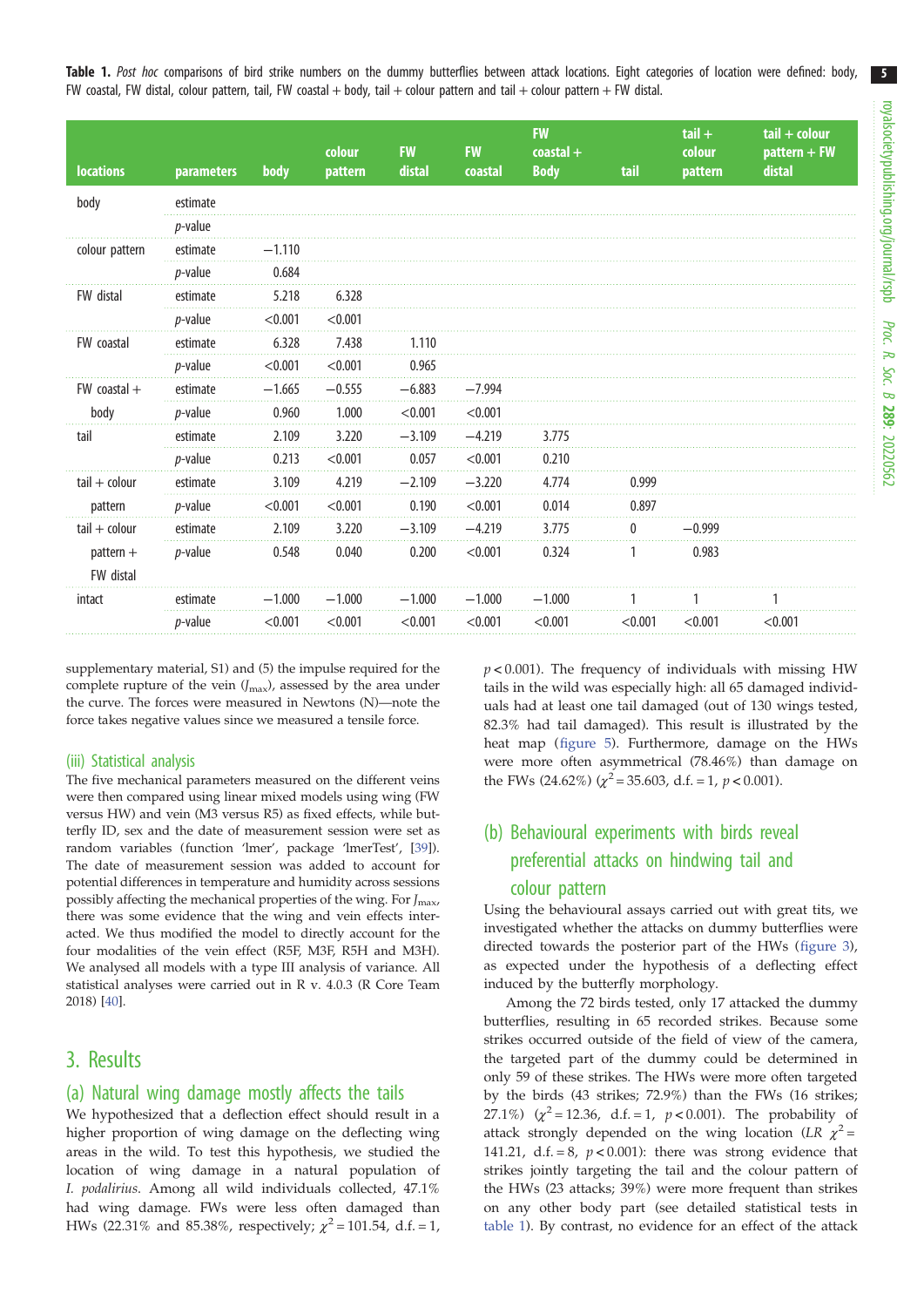5

<span id="page-4-0"></span>Table 1. Post hoc comparisons of bird strike numbers on the dummy butterflies between attack locations. Eight categories of location were defined: body, FW coastal, FW distal, colour pattern, tail, FW coastal + body, tail + colour pattern and tail + colour pattern + FW distal.

| <b>locations</b>                            | <b>parameters</b> | body     | colour<br>pattern | <b>FW</b><br>distal | <b>FW</b><br>coastal | <b>FW</b><br>$\text{coastal}$ +<br><b>Body</b> | tail    | $tail +$<br>colour<br>pattern | $tail + colour$<br>pattern + FW<br>distal |
|---------------------------------------------|-------------------|----------|-------------------|---------------------|----------------------|------------------------------------------------|---------|-------------------------------|-------------------------------------------|
| body                                        | estimate          |          |                   |                     |                      |                                                |         |                               |                                           |
|                                             | <i>p</i> -value   |          |                   |                     |                      |                                                |         |                               |                                           |
| colour pattern                              | estimate          | $-1.110$ |                   |                     |                      |                                                |         |                               |                                           |
|                                             | <i>p</i> -value   | 0.684    |                   |                     |                      |                                                |         |                               |                                           |
| FW distal                                   | estimate          | 5.218    | 6.328             |                     |                      |                                                |         |                               |                                           |
|                                             | <i>p</i> -value   | < 0.001  | < 0.001           |                     |                      |                                                |         |                               |                                           |
| FW coastal                                  | estimate          | 6.328    | 7.438             | 1.110               |                      |                                                |         |                               |                                           |
|                                             | <i>p</i> -value   | < 0.001  | < 0.001           | 0.965               |                      |                                                |         |                               |                                           |
| $FW$ coastal $+$                            | estimate          | $-1.665$ | $-0.555$          | $-6.883$            | $-7.994$             |                                                |         |                               |                                           |
| body                                        | <i>p</i> -value   | 0.960    | 1.000             | < 0.001             | < 0.001              |                                                |         |                               |                                           |
| tail                                        | estimate          | 2.109    | 3.220             | $-3.109$            | $-4.219$             | 3.775                                          |         |                               |                                           |
|                                             | <i>p</i> -value   | 0.213    | < 0.001           | 0.057               | < 0.001              | 0.210                                          |         |                               |                                           |
| $tail + colour$<br>pattern                  | estimate          | 3.109    | 4.219             | $-2.109$            | $-3.220$             | 4.774                                          | 0.999   |                               |                                           |
|                                             | <i>p</i> -value   | < 0.001  | < 0.001           | 0.190               | < 0.001              | 0.014                                          | 0.897   |                               |                                           |
| $tail + colour$<br>$pattern +$<br>FW distal | estimate          | 2.109    | 3.220             | $-3.109$            | $-4.219$             | 3.775                                          | 0       | $-0.999$                      |                                           |
|                                             | <i>p</i> -value   | 0.548    | 0.040             | 0.200               | < 0.001              | 0.324                                          |         | 0.983                         |                                           |
| intact                                      | estimate          | $-1.000$ | $-1.000$          | $-1.000$            | $-1.000$             | $-1.000$                                       |         |                               |                                           |
|                                             | <i>p</i> -value   | < 0.001  | < 0.001           | < 0.001             | < 0.001              | < 0.001                                        | < 0.001 | < 0.001                       | < 0.001                                   |

supplementary material, S1) and (5) the impulse required for the complete rupture of the vein  $(J_{\text{max}})$ , assessed by the area under the curve. The forces were measured in Newtons (N)—note the force takes negative values since we measured a tensile force.

#### (iii) Statistical analysis

The five mechanical parameters measured on the different veins were then compared using linear mixed models using wing (FW versus HW) and vein (M3 versus R5) as fixed effects, while butterfly ID, sex and the date of measurement session were set as random variables (function 'lmer', package 'lmerTest', [\[39\]](#page-8-0)). The date of measurement session was added to account for potential differences in temperature and humidity across sessions possibly affecting the mechanical properties of the wing. For  $J_{\text{max}}$ , there was some evidence that the wing and vein effects interacted. We thus modified the model to directly account for the four modalities of the vein effect (R5F, M3F, R5H and M3H). We analysed all models with a type III analysis of variance. All statistical analyses were carried out in R v. 4.0.3 (R Core Team 2018) [[40](#page-8-0)].

### 3. Results

#### (a) Natural wing damage mostly affects the tails

We hypothesized that a deflection effect should result in a higher proportion of wing damage on the deflecting wing areas in the wild. To test this hypothesis, we studied the location of wing damage in a natural population of I. podalirius. Among all wild individuals collected, 47.1% had wing damage. FWs were less often damaged than HWs (22.31% and 85.38%, respectively;  $\chi^2 = 101.54$ , d.f. = 1,  $p$  < 0.001). The frequency of individuals with missing HW tails in the wild was especially high: all 65 damaged individuals had at least one tail damaged (out of 130 wings tested, 82.3% had tail damaged). This result is illustrated by the heat map [\(figure 5](#page-6-0)). Furthermore, damage on the HWs were more often asymmetrical (78.46%) than damage on the FWs (24.62%) ( $\chi^2$  = 35.603, d.f. = 1, p < 0.001).

# (b) Behavioural experiments with birds reveal preferential attacks on hindwing tail and colour pattern

Using the behavioural assays carried out with great tits, we investigated whether the attacks on dummy butterflies were directed towards the posterior part of the HWs [\(figure 3\)](#page-3-0), as expected under the hypothesis of a deflecting effect induced by the butterfly morphology.

Among the 72 birds tested, only 17 attacked the dummy butterflies, resulting in 65 recorded strikes. Because some strikes occurred outside of the field of view of the camera, the targeted part of the dummy could be determined in only 59 of these strikes. The HWs were more often targeted by the birds (43 strikes; 72.9%) than the FWs (16 strikes; 27.1%)  $(\chi^2 = 12.36, d.f. = 1, p < 0.001)$ . The probability of attack strongly depended on the wing location (LR  $\chi^2$  = 141.21, d.f. = 8,  $p < 0.001$ ): there was strong evidence that strikes jointly targeting the tail and the colour pattern of the HWs (23 attacks; 39%) were more frequent than strikes on any other body part (see detailed statistical tests in table 1). By contrast, no evidence for an effect of the attack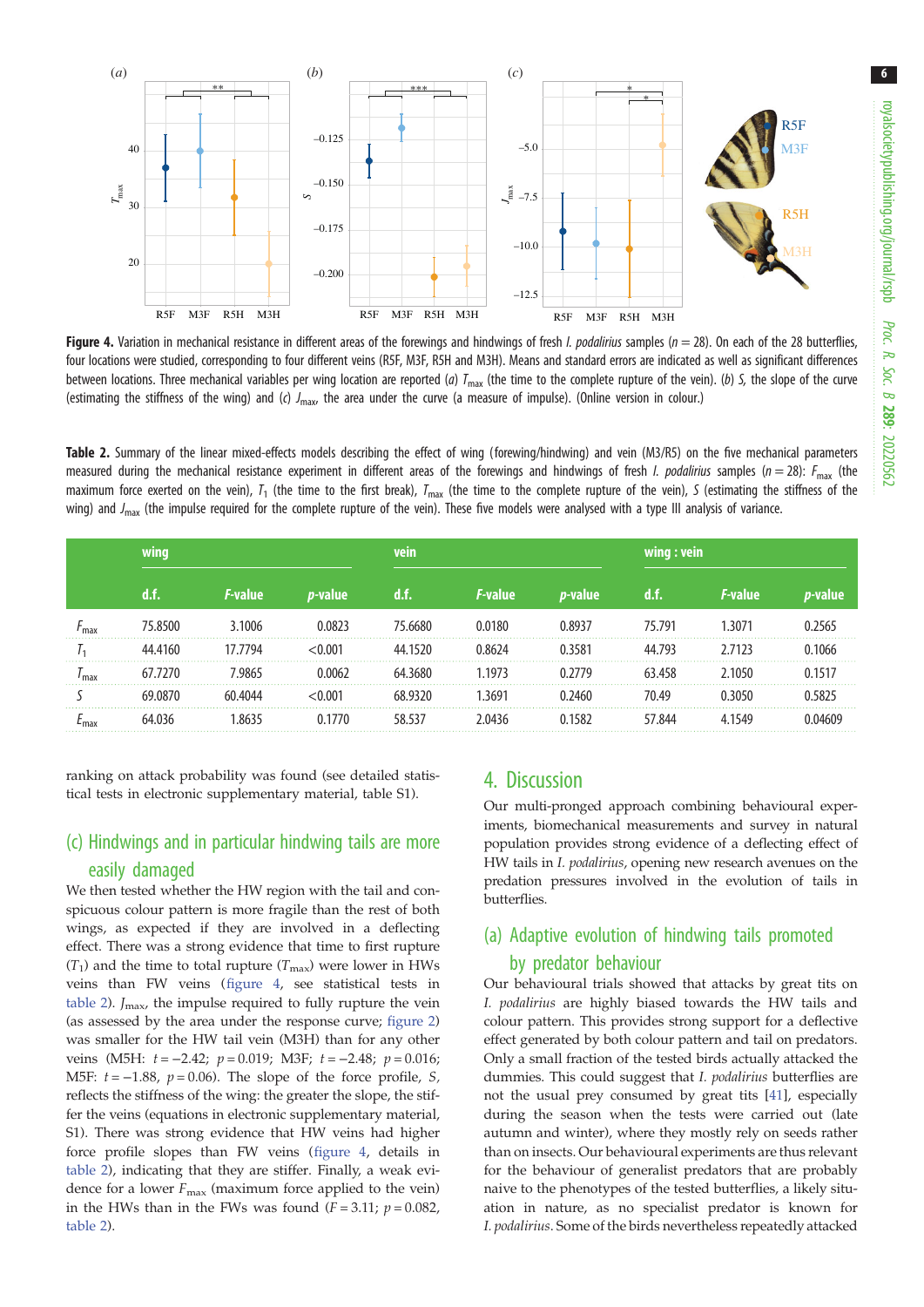6



Figure 4. Variation in mechanical resistance in different areas of the forewings and hindwings of fresh *I. podalirius* samples ( $n = 28$ ). On each of the 28 butterflies, four locations were studied, corresponding to four different veins (R5F, M3F, R5H and M3H). Means and standard errors are indicated as well as significant differences between locations. Three mechanical variables per wing location are reported (a)  $T_{\text{max}}$  (the time to the complete rupture of the vein). (b) S, the slope of the curve (estimating the stiffness of the wing) and (c)  $J_{\text{max}}$ , the area under the curve (a measure of impulse). (Online version in colour.)

Table 2. Summary of the linear mixed-effects models describing the effect of wing (forewing/hindwing) and vein (M3/R5) on the five mechanical parameters measured during the mechanical resistance experiment in different areas of the forewings and hindwings of fresh *I. podalirius* samples ( $n = 28$ ):  $F_{\text{max}}$  (the maximum force exerted on the vein),  $T_1$  (the time to the first break),  $T_{\text{max}}$  (the time to the complete rupture of the vein), S (estimating the stiffness of the wing) and  $J_{\text{max}}$  (the impulse required for the complete rupture of the vein). These five models were analysed with a type III analysis of variance.

|      | wing    |                 |                 |         |                 |                 | wing : vein |                       |        |
|------|---------|-----------------|-----------------|---------|-----------------|-----------------|-------------|-----------------------|--------|
|      | d.f.    | <i>F</i> -value | <i>p</i> -value | u. r.   | <i>F</i> -value | <i>p</i> -value |             | <i><b>F-value</b></i> |        |
| ma:  | 75.8500 | 3.1006          | 0.0823          | 75.6680 | 0.0180          | 08937           | 75 791      | .3071                 |        |
|      | 44.4160 | 17.7794         | < 0.001         | 44.1520 | 0.8624          | 0.3581          | 44.793      | 2.7123                | 0.1066 |
| ' ma | 67.7270 | 7 9865          | በ በበ62          | 64 3680 | 1973 ا          | በ ን779          | 63.458      | 1050                  |        |
|      | 69 0870 | 60 4044         | <0.001          | 68 9320 | 1.3691          |                 | 70.49       | 3050                  |        |
|      | 64.036  |                 | በ 177በ          | 58 537  | ን በ436          | በ 1582          | 57 844      | 1549                  |        |

ranking on attack probability was found (see detailed statistical tests in electronic supplementary material, table S1).

# (c) Hindwings and in particular hindwing tails are more easily damaged

We then tested whether the HW region with the tail and conspicuous colour pattern is more fragile than the rest of both wings, as expected if they are involved in a deflecting effect. There was a strong evidence that time to first rupture  $(T_1)$  and the time to total rupture  $(T_{\text{max}})$  were lower in HWs veins than FW veins (figure 4, see statistical tests in table 2).  $J_{\text{max}}$ , the impulse required to fully rupture the vein (as assessed by the area under the response curve; [figure 2\)](#page-3-0) was smaller for the HW tail vein (M3H) than for any other veins (M5H:  $t = -2.42$ ;  $p = 0.019$ ; M3F;  $t = -2.48$ ;  $p = 0.016$ ; M5F:  $t = -1.88$ ,  $p = 0.06$ ). The slope of the force profile, S, reflects the stiffness of the wing: the greater the slope, the stiffer the veins (equations in electronic supplementary material, S1). There was strong evidence that HW veins had higher force profile slopes than FW veins (figure 4, details in table 2), indicating that they are stiffer. Finally, a weak evidence for a lower  $F_{\text{max}}$  (maximum force applied to the vein) in the HWs than in the FWs was found  $(F = 3.11; p = 0.082,$ table 2).

# 4. Discussion

Our multi-pronged approach combining behavioural experiments, biomechanical measurements and survey in natural population provides strong evidence of a deflecting effect of HW tails in I. podalirius, opening new research avenues on the predation pressures involved in the evolution of tails in butterflies.

# (a) Adaptive evolution of hindwing tails promoted by predator behaviour

Our behavioural trials showed that attacks by great tits on I. podalirius are highly biased towards the HW tails and colour pattern. This provides strong support for a deflective effect generated by both colour pattern and tail on predators. Only a small fraction of the tested birds actually attacked the dummies. This could suggest that I. podalirius butterflies are not the usual prey consumed by great tits [[41\]](#page-8-0), especially during the season when the tests were carried out (late autumn and winter), where they mostly rely on seeds rather than on insects. Our behavioural experiments are thus relevant for the behaviour of generalist predators that are probably naive to the phenotypes of the tested butterflies, a likely situation in nature, as no specialist predator is known for I. podalirius. Some of the birds nevertheless repeatedly attacked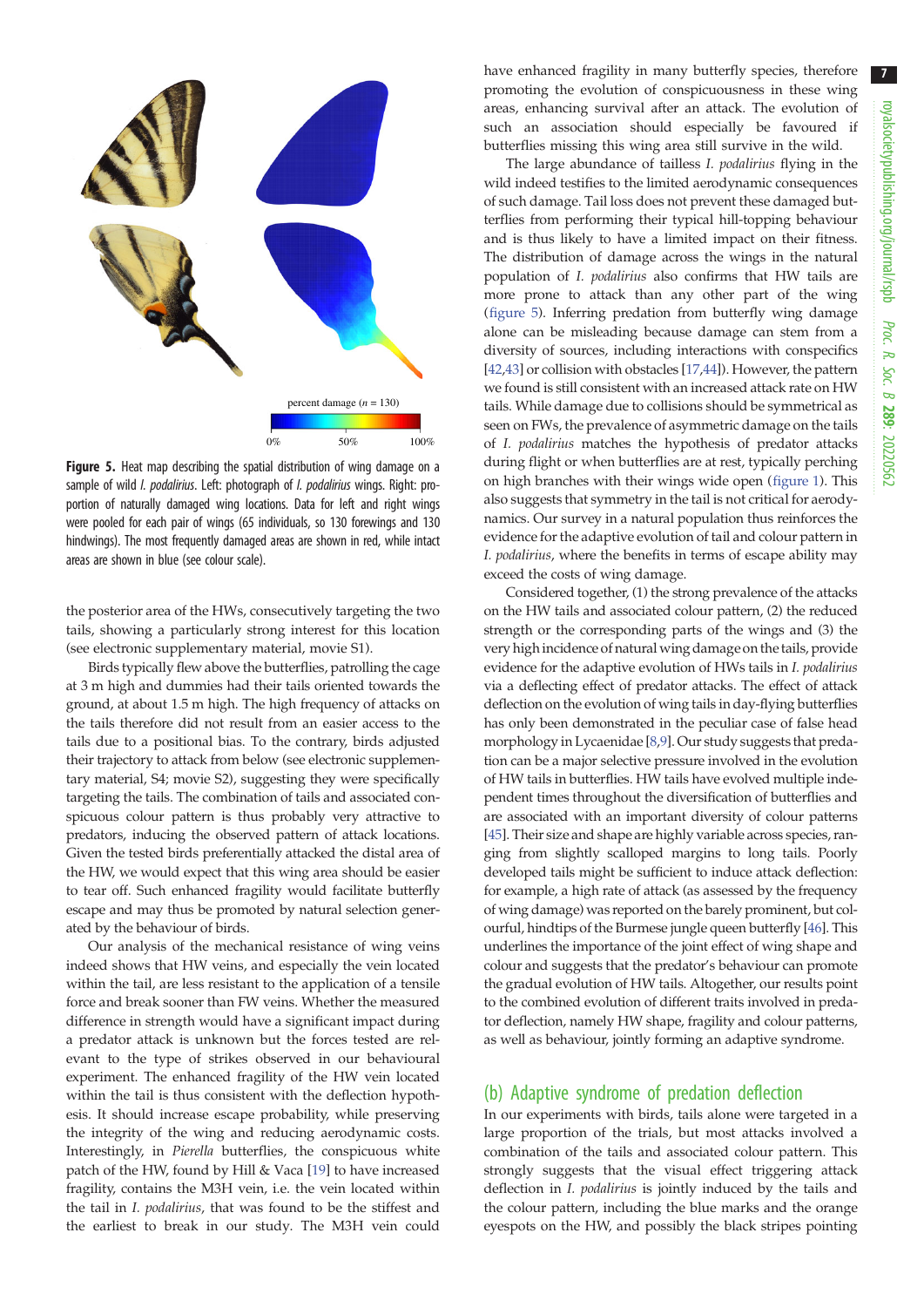<span id="page-6-0"></span>

Figure 5. Heat map describing the spatial distribution of wing damage on a sample of wild *I. podalirius*. Left: photograph of *I. podalirius* wings. Right: proportion of naturally damaged wing locations. Data for left and right wings were pooled for each pair of wings (65 individuals, so 130 forewings and 130 hindwings). The most frequently damaged areas are shown in red, while intact areas are shown in blue (see colour scale).

the posterior area of the HWs, consecutively targeting the two tails, showing a particularly strong interest for this location (see electronic supplementary material, movie S1).

Birds typically flew above the butterflies, patrolling the cage at 3 m high and dummies had their tails oriented towards the ground, at about 1.5 m high. The high frequency of attacks on the tails therefore did not result from an easier access to the tails due to a positional bias. To the contrary, birds adjusted their trajectory to attack from below (see electronic supplementary material, S4; movie S2), suggesting they were specifically targeting the tails. The combination of tails and associated conspicuous colour pattern is thus probably very attractive to predators, inducing the observed pattern of attack locations. Given the tested birds preferentially attacked the distal area of the HW, we would expect that this wing area should be easier to tear off. Such enhanced fragility would facilitate butterfly escape and may thus be promoted by natural selection generated by the behaviour of birds.

Our analysis of the mechanical resistance of wing veins indeed shows that HW veins, and especially the vein located within the tail, are less resistant to the application of a tensile force and break sooner than FW veins. Whether the measured difference in strength would have a significant impact during a predator attack is unknown but the forces tested are relevant to the type of strikes observed in our behavioural experiment. The enhanced fragility of the HW vein located within the tail is thus consistent with the deflection hypothesis. It should increase escape probability, while preserving the integrity of the wing and reducing aerodynamic costs. Interestingly, in Pierella butterflies, the conspicuous white patch of the HW, found by Hill & Vaca [[19\]](#page-8-0) to have increased fragility, contains the M3H vein, i.e. the vein located within the tail in I. podalirius, that was found to be the stiffest and the earliest to break in our study. The M3H vein could

have enhanced fragility in many butterfly species, therefore promoting the evolution of conspicuousness in these wing areas, enhancing survival after an attack. The evolution of such an association should especially be favoured if butterflies missing this wing area still survive in the wild.

The large abundance of tailless I. podalirius flying in the wild indeed testifies to the limited aerodynamic consequences of such damage. Tail loss does not prevent these damaged butterflies from performing their typical hill-topping behaviour and is thus likely to have a limited impact on their fitness. The distribution of damage across the wings in the natural population of I. podalirius also confirms that HW tails are more prone to attack than any other part of the wing (figure 5). Inferring predation from butterfly wing damage alone can be misleading because damage can stem from a diversity of sources, including interactions with conspecifics [[42,43\]](#page-9-0) or collision with obstacles [\[17](#page-8-0)[,44](#page-9-0)]). However, the pattern we found is still consistent with an increased attack rate on HW tails. While damage due to collisions should be symmetrical as seen on FWs, the prevalence of asymmetric damage on the tails of I. podalirius matches the hypothesis of predator attacks during flight or when butterflies are at rest, typically perching on high branches with their wings wide open [\(figure 1](#page-2-0)). This also suggests that symmetry in the tail is not critical for aerodynamics. Our survey in a natural population thus reinforces the evidence for the adaptive evolution of tail and colour pattern in I. podalirius, where the benefits in terms of escape ability may exceed the costs of wing damage.

Considered together, (1) the strong prevalence of the attacks on the HW tails and associated colour pattern, (2) the reduced strength or the corresponding parts of the wings and (3) the very high incidence of natural wing damage on the tails, provide evidence for the adaptive evolution of HWs tails in I. podalirius via a deflecting effect of predator attacks. The effect of attack deflection on the evolution of wing tails in day-flying butterflies has only been demonstrated in the peculiar case of false head morphology in Lycaenidae [\[8,9\]](#page-8-0). Our study suggests that predation can be a major selective pressure involved in the evolution of HW tails in butterflies. HW tails have evolved multiple independent times throughout the diversification of butterflies and are associated with an important diversity of colour patterns [[45](#page-9-0)]. Their size and shape are highly variable across species, ranging from slightly scalloped margins to long tails. Poorly developed tails might be sufficient to induce attack deflection: for example, a high rate of attack (as assessed by the frequency of wing damage) was reported on the barely prominent, but colourful, hindtips of the Burmese jungle queen butterfly [[46](#page-9-0)]. This underlines the importance of the joint effect of wing shape and colour and suggests that the predator's behaviour can promote the gradual evolution of HW tails. Altogether, our results point to the combined evolution of different traits involved in predator deflection, namely HW shape, fragility and colour patterns, as well as behaviour, jointly forming an adaptive syndrome.

#### (b) Adaptive syndrome of predation deflection

In our experiments with birds, tails alone were targeted in a large proportion of the trials, but most attacks involved a combination of the tails and associated colour pattern. This strongly suggests that the visual effect triggering attack deflection in I. podalirius is jointly induced by the tails and the colour pattern, including the blue marks and the orange eyespots on the HW, and possibly the black stripes pointing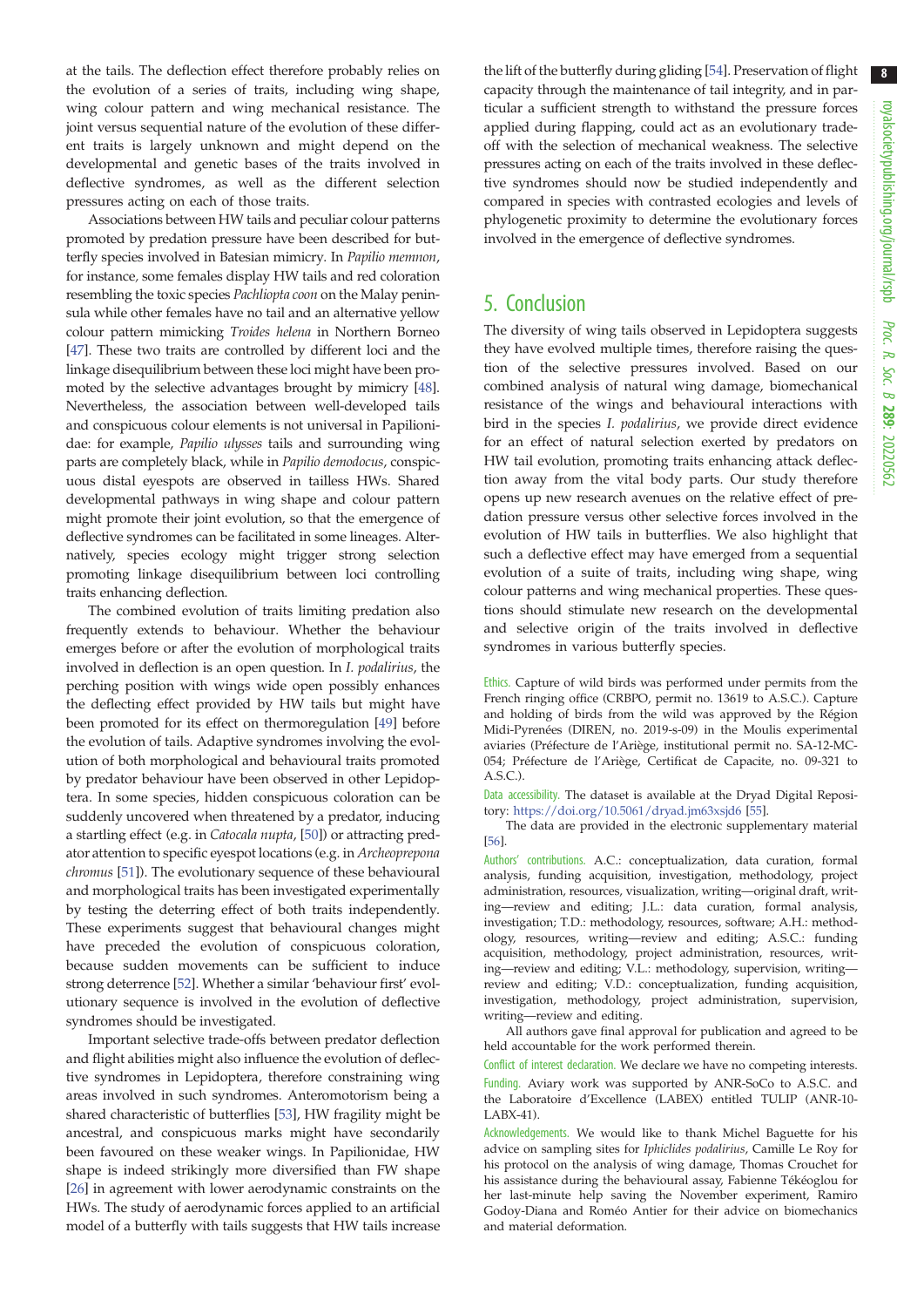at the tails. The deflection effect therefore probably relies on the evolution of a series of traits, including wing shape, wing colour pattern and wing mechanical resistance. The joint versus sequential nature of the evolution of these different traits is largely unknown and might depend on the developmental and genetic bases of the traits involved in deflective syndromes, as well as the different selection pressures acting on each of those traits.

Associations between HW tails and peculiar colour patterns promoted by predation pressure have been described for butterfly species involved in Batesian mimicry. In Papilio memnon, for instance, some females display HW tails and red coloration resembling the toxic species Pachliopta coon on the Malay peninsula while other females have no tail and an alternative yellow colour pattern mimicking Troides helena in Northern Borneo [\[47](#page-9-0)]. These two traits are controlled by different loci and the linkage disequilibrium between these loci might have been promoted by the selective advantages brought by mimicry [[48](#page-9-0)]. Nevertheless, the association between well-developed tails and conspicuous colour elements is not universal in Papilionidae: for example, Papilio ulysses tails and surrounding wing parts are completely black, while in Papilio demodocus, conspicuous distal eyespots are observed in tailless HWs. Shared developmental pathways in wing shape and colour pattern might promote their joint evolution, so that the emergence of deflective syndromes can be facilitated in some lineages. Alternatively, species ecology might trigger strong selection promoting linkage disequilibrium between loci controlling traits enhancing deflection.

The combined evolution of traits limiting predation also frequently extends to behaviour. Whether the behaviour emerges before or after the evolution of morphological traits involved in deflection is an open question. In I. podalirius, the perching position with wings wide open possibly enhances the deflecting effect provided by HW tails but might have been promoted for its effect on thermoregulation [\[49](#page-9-0)] before the evolution of tails. Adaptive syndromes involving the evolution of both morphological and behavioural traits promoted by predator behaviour have been observed in other Lepidoptera. In some species, hidden conspicuous coloration can be suddenly uncovered when threatened by a predator, inducing a startling effect (e.g. in Catocala nupta, [\[50](#page-9-0)]) or attracting predator attention to specific eyespot locations (e.g. in Archeoprepona chromus [\[51](#page-9-0)]). The evolutionary sequence of these behavioural and morphological traits has been investigated experimentally by testing the deterring effect of both traits independently. These experiments suggest that behavioural changes might have preceded the evolution of conspicuous coloration, because sudden movements can be sufficient to induce strong deterrence [\[52](#page-9-0)]. Whether a similar 'behaviour first' evolutionary sequence is involved in the evolution of deflective syndromes should be investigated.

Important selective trade-offs between predator deflection and flight abilities might also influence the evolution of deflective syndromes in Lepidoptera, therefore constraining wing areas involved in such syndromes. Anteromotorism being a shared characteristic of butterflies [\[53](#page-9-0)], HW fragility might be ancestral, and conspicuous marks might have secondarily been favoured on these weaker wings. In Papilionidae, HW shape is indeed strikingly more diversified than FW shape [\[26](#page-8-0)] in agreement with lower aerodynamic constraints on the HWs. The study of aerodynamic forces applied to an artificial model of a butterfly with tails suggests that HW tails increase the lift of the butterfly during gliding [\[54\]](#page-9-0). Preservation of flight capacity through the maintenance of tail integrity, and in particular a sufficient strength to withstand the pressure forces applied during flapping, could act as an evolutionary tradeoff with the selection of mechanical weakness. The selective pressures acting on each of the traits involved in these deflective syndromes should now be studied independently and compared in species with contrasted ecologies and levels of phylogenetic proximity to determine the evolutionary forces involved in the emergence of deflective syndromes.

### 5. Conclusion

The diversity of wing tails observed in Lepidoptera suggests they have evolved multiple times, therefore raising the question of the selective pressures involved. Based on our combined analysis of natural wing damage, biomechanical resistance of the wings and behavioural interactions with bird in the species I. podalirius, we provide direct evidence for an effect of natural selection exerted by predators on HW tail evolution, promoting traits enhancing attack deflection away from the vital body parts. Our study therefore opens up new research avenues on the relative effect of predation pressure versus other selective forces involved in the evolution of HW tails in butterflies. We also highlight that such a deflective effect may have emerged from a sequential evolution of a suite of traits, including wing shape, wing colour patterns and wing mechanical properties. These questions should stimulate new research on the developmental and selective origin of the traits involved in deflective syndromes in various butterfly species.

Ethics. Capture of wild birds was performed under permits from the French ringing office (CRBPO, permit no. 13619 to A.S.C.). Capture and holding of birds from the wild was approved by the Région Midi-Pyrenées (DIREN, no. 2019-s-09) in the Moulis experimental aviaries (Préfecture de l'Ariège, institutional permit no. SA-12-MC-054; Préfecture de l'Ariège, Certificat de Capacite, no. 09-321 to A.S.C.).

Data accessibility. The dataset is available at the Dryad Digital Repository: <https://doi.org/10.5061/dryad.jm63xsjd6> [\[55](#page-9-0)].

The data are provided in the electronic supplementary material [\[56](#page-9-0)].

Authors' contributions. A.C.: conceptualization, data curation, formal analysis, funding acquisition, investigation, methodology, project administration, resources, visualization, writing—original draft, writing—review and editing; J.L.: data curation, formal analysis, investigation; T.D.: methodology, resources, software; A.H.: methodology, resources, writing—review and editing; A.S.C.: funding acquisition, methodology, project administration, resources, writing—review and editing; V.L.: methodology, supervision, writing review and editing; V.D.: conceptualization, funding acquisition, investigation, methodology, project administration, supervision, writing—review and editing.

All authors gave final approval for publication and agreed to be held accountable for the work performed therein.

Conflict of interest declaration. We declare we have no competing interests. Funding. Aviary work was supported by ANR-SoCo to A.S.C. and the Laboratoire d'Excellence (LABEX) entitled TULIP (ANR-10- LABX-41).

Acknowledgements. We would like to thank Michel Baguette for his advice on sampling sites for Iphiclides podalirius, Camille Le Roy for his protocol on the analysis of wing damage, Thomas Crouchet for his assistance during the behavioural assay, Fabienne Tékéoglou for her last-minute help saving the November experiment, Ramiro Godoy-Diana and Roméo Antier for their advice on biomechanics and material deformation.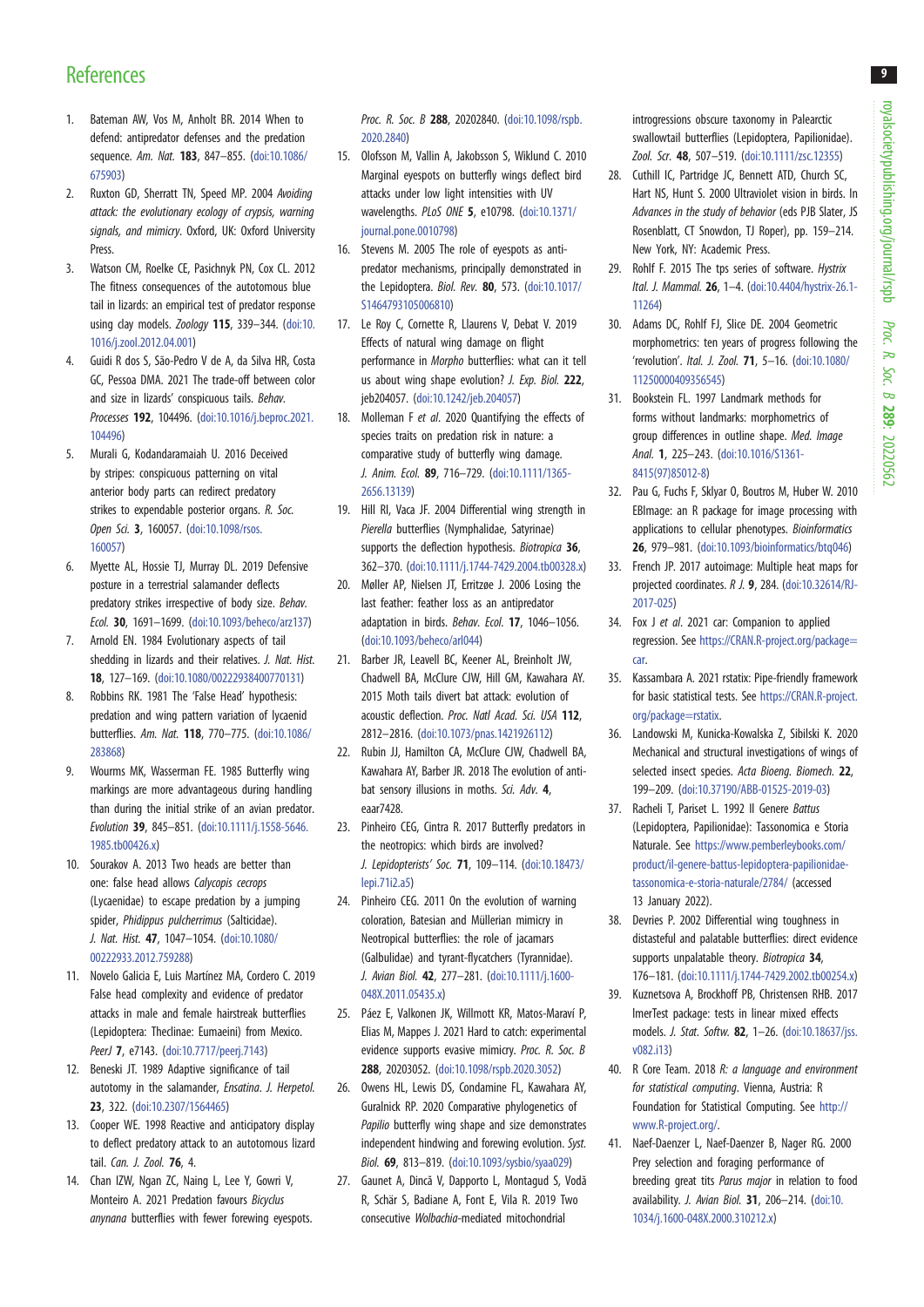# <span id="page-8-0"></span>**References**

- 1. Bateman AW, Vos M, Anholt BR. 2014 When to defend: antipredator defenses and the predation sequence. Am. Nat. 183, 847–855. ([doi:10.1086/](http://dx.doi.org/10.1086/675903) [675903](http://dx.doi.org/10.1086/675903))
- 2. Ruxton GD, Sherratt TN, Speed MP. 2004 Avoiding attack: the evolutionary ecology of crypsis, warning signals, and mimicry. Oxford, UK: Oxford University Press
- 3. Watson CM, Roelke CE, Pasichnyk PN, Cox CL. 2012 The fitness consequences of the autotomous blue tail in lizards: an empirical test of predator response using clay models. Zoology 115, 339-344. ([doi:10.](http://dx.doi.org/10.1016/j.zool.2012.04.001) [1016/j.zool.2012.04.001](http://dx.doi.org/10.1016/j.zool.2012.04.001))
- 4. Guidi R dos S, São-Pedro V de A, da Silva HR, Costa GC, Pessoa DMA. 2021 The trade-off between color and size in lizards' conspicuous tails. Behav. Processes 192, 104496. [\(doi:10.1016/j.beproc.2021.](http://dx.doi.org/10.1016/j.beproc.2021.104496) [104496](http://dx.doi.org/10.1016/j.beproc.2021.104496))
- 5. Murali G, Kodandaramaiah U. 2016 Deceived by stripes: conspicuous patterning on vital anterior body parts can redirect predatory strikes to expendable posterior organs. R. Soc. Open Sci. 3, 160057. [\(doi:10.1098/rsos.](http://dx.doi.org/10.1098/rsos.160057) [160057](http://dx.doi.org/10.1098/rsos.160057))
- 6. Myette AL, Hossie TJ, Murray DL. 2019 Defensive posture in a terrestrial salamander deflects predatory strikes irrespective of body size. Behav. Ecol. 30, 1691–1699. ([doi:10.1093/beheco/arz137\)](http://dx.doi.org/10.1093/beheco/arz137)
- 7. Arnold EN. 1984 Evolutionary aspects of tail shedding in lizards and their relatives. *J. Nat. Hist.* 18, 127–169. ([doi:10.1080/00222938400770131\)](http://dx.doi.org/10.1080/00222938400770131)
- 8. Robbins RK. 1981 The 'False Head' hypothesis: predation and wing pattern variation of lycaenid butterflies. Am. Nat. 118, 770–775. [\(doi:10.1086/](http://dx.doi.org/10.1086/283868) [283868](http://dx.doi.org/10.1086/283868))
- 9. Wourms MK, Wasserman FE. 1985 Butterfly wing markings are more advantageous during handling than during the initial strike of an avian predator. Evolution 39, 845–851. ([doi:10.1111/j.1558-5646.](http://dx.doi.org/10.1111/j.1558-5646.1985.tb00426.x) [1985.tb00426.x\)](http://dx.doi.org/10.1111/j.1558-5646.1985.tb00426.x)
- 10. Sourakov A. 2013 Two heads are better than one: false head allows Calycopis cecrops (Lycaenidae) to escape predation by a jumping spider, Phidippus pulcherrimus (Salticidae). J. Nat. Hist. 47, 1047–1054. ([doi:10.1080/](https://doi.org/10.1080/00222933.2012.759288) [00222933.2012.759288](https://doi.org/10.1080/00222933.2012.759288))
- 11. Novelo Galicia E, Luis Martínez MA, Cordero C. 2019 False head complexity and evidence of predator attacks in male and female hairstreak butterflies (Lepidoptera: Theclinae: Eumaeini) from Mexico. PeerJ 7, e7143. ([doi:10.7717/peerj.7143](https://doi.org/10.7717/peerj.7143))
- 12. Beneski JT. 1989 Adaptive significance of tail autotomy in the salamander, Ensatina. J. Herpetol. 23, 322. [\(doi:10.2307/1564465\)](https://doi.org/10.2307/1564465)
- 13. Cooper WE. 1998 Reactive and anticipatory display to deflect predatory attack to an autotomous lizard tail. Can. J. Zool. 76, 4.
- 14. Chan IZW, Ngan ZC, Naing L, Lee Y, Gowri V, Monteiro A. 2021 Predation favours Bicyclus anynana butterflies with fewer forewing eyespots.

Proc. R. Soc. B 288, 20202840. [\(doi:10.1098/rspb.](http://dx.doi.org/10.1098/rspb.2020.2840) [2020.2840\)](http://dx.doi.org/10.1098/rspb.2020.2840)

- 15. Olofsson M, Vallin A, Jakobsson S, Wiklund C. 2010 Marginal eyespots on butterfly wings deflect bird attacks under low light intensities with UV wavelengths. PLoS ONE 5, e10798. ([doi:10.1371/](http://dx.doi.org/10.1371/journal.pone.0010798) [journal.pone.0010798\)](http://dx.doi.org/10.1371/journal.pone.0010798)
- 16. Stevens M. 2005 The role of eyespots as antipredator mechanisms, principally demonstrated in the Lepidoptera. Biol. Rev. 80, 573. [\(doi:10.1017/](https://doi.org/10.1017/S1464793105006810) [S1464793105006810](https://doi.org/10.1017/S1464793105006810))
- 17. Le Roy C, Cornette R, Llaurens V, Debat V. 2019 Effects of natural wing damage on flight performance in Morpho butterflies: what can it tell us about wing shape evolution? *J. Exp. Biol.* 222, jeb204057. [\(doi:10.1242/jeb.204057](http://dx.doi.org/10.1242/jeb.204057))
- 18. Molleman F et al. 2020 Quantifying the effects of species traits on predation risk in nature: a comparative study of butterfly wing damage. J. Anim. Ecol. 89, 716–729. ([doi:10.1111/1365-](http://dx.doi.org/10.1111/1365-2656.13139) [2656.13139\)](http://dx.doi.org/10.1111/1365-2656.13139)
- 19. Hill RI, Vaca JF. 2004 Differential wing strength in Pierella butterflies (Nymphalidae, Satyrinae) supports the deflection hypothesis. Biotropica 36, 362–370. [\(doi:10.1111/j.1744-7429.2004.tb00328.x\)](https://doi.org/10.1111/j.1744-7429.2004.tb00328.x)
- 20. Møller AP, Nielsen JT, Erritzøe J. 2006 Losing the last feather: feather loss as an antipredator adaptation in birds. Behav. Ecol. 17, 1046–1056. [\(doi:10.1093/beheco/arl044\)](http://dx.doi.org/10.1093/beheco/arl044)
- 21. Barber JR, Leavell BC, Keener AL, Breinholt JW, Chadwell BA, McClure CJW, Hill GM, Kawahara AY. 2015 Moth tails divert bat attack: evolution of acoustic deflection. Proc. Natl Acad. Sci. USA 112, 2812–2816. [\(doi:10.1073/pnas.1421926112](http://dx.doi.org/10.1073/pnas.1421926112))
- 22. Rubin JJ, Hamilton CA, McClure CJW, Chadwell BA, Kawahara AY, Barber JR. 2018 The evolution of antibat sensory illusions in moths. Sci. Adv. 4, eaar7428.
- 23. Pinheiro CEG, Cintra R. 2017 Butterfly predators in the neotropics: which birds are involved? J. Lepidopterists' Soc. 71, 109–114. [\(doi:10.18473/](http://dx.doi.org/10.18473/lepi.71i2.a5) [lepi.71i2.a5\)](http://dx.doi.org/10.18473/lepi.71i2.a5)
- 24. Pinheiro CEG. 2011 On the evolution of warning coloration, Batesian and Müllerian mimicry in Neotropical butterflies: the role of jacamars (Galbulidae) and tyrant-flycatchers (Tyrannidae). J. Avian Biol. 42, 277–281. [\(doi:10.1111/j.1600-](http://dx.doi.org/10.1111/j.1600-048X.2011.05435.x) [048X.2011.05435.x\)](http://dx.doi.org/10.1111/j.1600-048X.2011.05435.x)
- 25. Páez E, Valkonen JK, Willmott KR, Matos-Maraví P, Elias M, Mappes J. 2021 Hard to catch: experimental evidence supports evasive mimicry. Proc. R. Soc. B 288, 20203052. ([doi:10.1098/rspb.2020.3052](http://dx.doi.org/10.1098/rspb.2020.3052))
- 26. Owens HL, Lewis DS, Condamine FL, Kawahara AY, Guralnick RP. 2020 Comparative phylogenetics of Papilio butterfly wing shape and size demonstrates independent hindwing and forewing evolution. Syst. Biol. 69, 813–819. ([doi:10.1093/sysbio/syaa029\)](http://dx.doi.org/10.1093/sysbio/syaa029)
- 27. Gaunet A, Dincă V, Dapporto L, Montagud S, Vodă R, Schär S, Badiane A, Font E, Vila R. 2019 Two consecutive Wolbachia-mediated mitochondrial

introgressions obscure taxonomy in Palearctic swallowtail butterflies (Lepidoptera, Papilionidae). Zool. Scr. 48, 507–519. ([doi:10.1111/zsc.12355](https://doi.org/10.1111/zsc.12355))

- 28. Cuthill IC, Partridge JC, Bennett ATD, Church SC, Hart NS, Hunt S. 2000 Ultraviolet vision in birds. In Advances in the study of behavior (eds PJB Slater, JS Rosenblatt, CT Snowdon, TJ Roper), pp. 159–214. New York, NY: Academic Press.
- 29. Rohlf F. 2015 The tps series of software. *Hystrix* Ital. J. Mammal. 26, 1–4. ([doi:10.4404/hystrix-26.1-](http://dx.doi.org/10.4404/hystrix-26.1-11264) [11264\)](http://dx.doi.org/10.4404/hystrix-26.1-11264)
- 30. Adams DC, Rohlf FJ, Slice DE. 2004 Geometric morphometrics: ten years of progress following the 'revolution'. Ital. J. Zool. 71, 5–16. ([doi:10.1080/](http://dx.doi.org/10.1080/11250000409356545) [11250000409356545](http://dx.doi.org/10.1080/11250000409356545))
- 31. Bookstein FL. 1997 Landmark methods for forms without landmarks: morphometrics of group differences in outline shape. Med. Image Anal. 1, 225–243. ([doi:10.1016/S1361-](http://dx.doi.org/10.1016/S1361-8415(97)85012-8) [8415\(97\)85012-8](http://dx.doi.org/10.1016/S1361-8415(97)85012-8))
- 32. Pau G, Fuchs F, Sklyar O, Boutros M, Huber W. 2010 EBImage: an R package for image processing with applications to cellular phenotypes. Bioinformatics 26, 979–981. ([doi:10.1093/bioinformatics/btq046\)](https://doi.org/10.1093/bioinformatics/btq046)
- 33. French JP. 2017 autoimage: Multiple heat maps for projected coordinates. R J. 9, 284. [\(doi:10.32614/RJ-](https://doi.org/10.32614/RJ-2017-025)[2017-025\)](https://doi.org/10.32614/RJ-2017-025)
- 34. Fox J et al. 2021 car: Companion to applied regression. See [https://CRAN.R-project.org/package=](https://CRAN.R-project.org/package=car) [car.](https://CRAN.R-project.org/package=car)
- 35. Kassambara A. 2021 rstatix: Pipe-friendly framework for basic statistical tests. See [https://CRAN.R-project.](https://CRAN.R-project.org/package=rstatix) [org/package=rstatix](https://CRAN.R-project.org/package=rstatix).
- 36. Landowski M, Kunicka-Kowalska Z, Sibilski K. 2020 Mechanical and structural investigations of wings of selected insect species. Acta Bioeng. Biomech. 22, 199–209. [\(doi:10.37190/ABB-01525-2019-03\)](http://dx.doi.org/10.37190/ABB-01525-2019-03)
- 37. Racheli T, Pariset L. 1992 Il Genere Battus (Lepidoptera, Papilionidae): Tassonomica e Storia Naturale. See [https://www.pemberleybooks.com/](https://www.pemberleybooks.com/product/il-genere-battus-lepidoptera-papilionidae-tassonomica-e-storia-naturale/2784/) [product/il-genere-battus-lepidoptera-papilionidae](https://www.pemberleybooks.com/product/il-genere-battus-lepidoptera-papilionidae-tassonomica-e-storia-naturale/2784/)[tassonomica-e-storia-naturale/2784/](https://www.pemberleybooks.com/product/il-genere-battus-lepidoptera-papilionidae-tassonomica-e-storia-naturale/2784/) (accessed 13 January 2022).
- 38. Devries P. 2002 Differential wing toughness in distasteful and palatable butterflies: direct evidence supports unpalatable theory. Biotropica 34, 176–181. ([doi:10.1111/j.1744-7429.2002.tb00254.x](http://dx.doi.org/10.1111/j.1744-7429.2002.tb00254.x))
- 39. Kuznetsova A, Brockhoff PB, Christensen RHB. 2017 lmerTest package: tests in linear mixed effects models. J. Stat. Softw. 82, 1–26. [\(doi:10.18637/jss.](http://dx.doi.org/10.18637/jss.v082.i13) [v082.i13\)](http://dx.doi.org/10.18637/jss.v082.i13)
- 40. R Core Team. 2018 R: a language and environment for statistical computing. Vienna, Austria: R Foundation for Statistical Computing. See [http://](http://www.R-project.org/) [www.R-project.org/](http://www.R-project.org/).
- 41. Naef-Daenzer L, Naef-Daenzer B, Nager RG. 2000 Prey selection and foraging performance of breeding great tits Parus major in relation to food availability. J. Avian Biol. 31, 206–214. ([doi:10.](https://doi.org/10.1034/j.1600-048X.2000.310212.x) [1034/j.1600-048X.2000.310212.x](https://doi.org/10.1034/j.1600-048X.2000.310212.x))